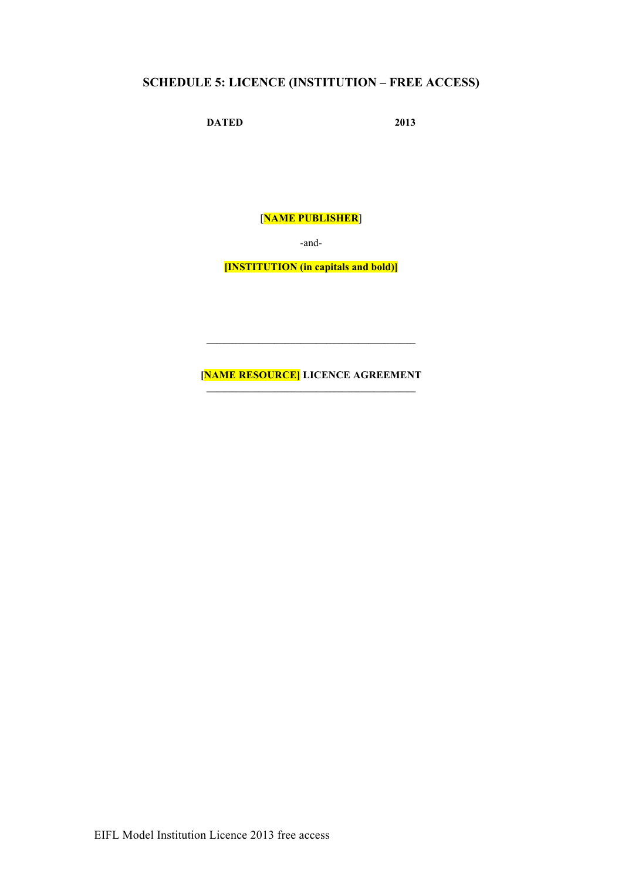# **SCHEDULE 5: LICENCE (INSTITUTION – FREE ACCESS)**

**DATED 2013**

[**NAME PUBLISHER**]

-and-

**[INSTITUTION (in capitals and bold)]**

**[NAME RESOURCE] LICENCE AGREEMENT**

 $\mathcal{L}=\{1,2,3,4,5\}$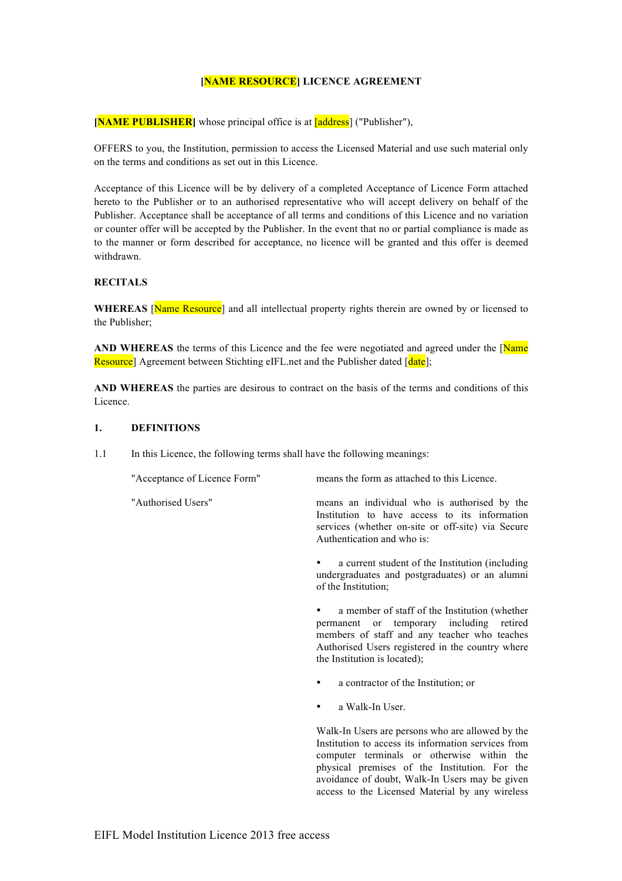## **[NAME RESOURCE] LICENCE AGREEMENT**

**[NAME PUBLISHER]** whose principal office is at **[address]** ("Publisher"),

OFFERS to you, the Institution, permission to access the Licensed Material and use such material only on the terms and conditions as set out in this Licence.

Acceptance of this Licence will be by delivery of a completed Acceptance of Licence Form attached hereto to the Publisher or to an authorised representative who will accept delivery on behalf of the Publisher. Acceptance shall be acceptance of all terms and conditions of this Licence and no variation or counter offer will be accepted by the Publisher. In the event that no or partial compliance is made as to the manner or form described for acceptance, no licence will be granted and this offer is deemed withdrawn.

#### **RECITALS**

**WHEREAS** [Name Resource] and all intellectual property rights therein are owned by or licensed to the Publisher;

AND WHEREAS the terms of this Licence and the fee were negotiated and agreed under the [Name] Resource] Agreement between Stichting eIFL net and the Publisher dated [date]:

**AND WHEREAS** the parties are desirous to contract on the basis of the terms and conditions of this Licence.

#### **1. DEFINITIONS**

1.1 In this Licence, the following terms shall have the following meanings:

"Acceptance of Licence Form" means the form as attached to this Licence. "Authorised Users" means an individual who is authorised by the Institution to have access to its information services (whether on-site or off-site) via Secure Authentication and who is:

> a current student of the Institution (including undergraduates and postgraduates) or an alumni of the Institution;

> a member of staff of the Institution (whether permanent or temporary including retired members of staff and any teacher who teaches Authorised Users registered in the country where the Institution is located);

- a contractor of the Institution; or
- a Walk-In User.

Walk-In Users are persons who are allowed by the Institution to access its information services from computer terminals or otherwise within the physical premises of the Institution. For the avoidance of doubt, Walk-In Users may be given access to the Licensed Material by any wireless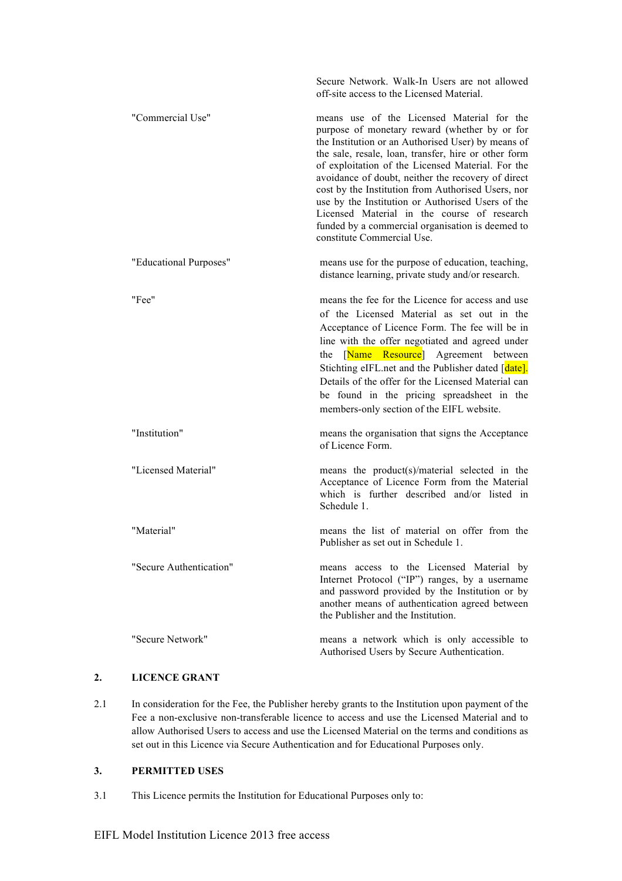|                         | Secure Network. Walk-In Users are not allowed<br>off-site access to the Licensed Material.                                                                                                                                                                                                                                                                                                                                                                                                                                                                       |
|-------------------------|------------------------------------------------------------------------------------------------------------------------------------------------------------------------------------------------------------------------------------------------------------------------------------------------------------------------------------------------------------------------------------------------------------------------------------------------------------------------------------------------------------------------------------------------------------------|
| "Commercial Use"        | means use of the Licensed Material for the<br>purpose of monetary reward (whether by or for<br>the Institution or an Authorised User) by means of<br>the sale, resale, loan, transfer, hire or other form<br>of exploitation of the Licensed Material. For the<br>avoidance of doubt, neither the recovery of direct<br>cost by the Institution from Authorised Users, nor<br>use by the Institution or Authorised Users of the<br>Licensed Material in the course of research<br>funded by a commercial organisation is deemed to<br>constitute Commercial Use. |
| "Educational Purposes"  | means use for the purpose of education, teaching,<br>distance learning, private study and/or research.                                                                                                                                                                                                                                                                                                                                                                                                                                                           |
| "Fee"                   | means the fee for the Licence for access and use<br>of the Licensed Material as set out in the<br>Acceptance of Licence Form. The fee will be in<br>line with the offer negotiated and agreed under<br>[Name Resource] Agreement between<br>the<br>Stichting eIFL.net and the Publisher dated [date].<br>Details of the offer for the Licensed Material can<br>be found in the pricing spreadsheet in the<br>members-only section of the EIFL website.                                                                                                           |
| "Institution"           | means the organisation that signs the Acceptance<br>of Licence Form.                                                                                                                                                                                                                                                                                                                                                                                                                                                                                             |
| "Licensed Material"     | means the product(s)/material selected in the<br>Acceptance of Licence Form from the Material<br>which is further described and/or listed in<br>Schedule 1.                                                                                                                                                                                                                                                                                                                                                                                                      |
| "Material"              | means the list of material on offer from the<br>Publisher as set out in Schedule 1                                                                                                                                                                                                                                                                                                                                                                                                                                                                               |
| "Secure Authentication" | means access to the Licensed Material by<br>Internet Protocol ("IP") ranges, by a username<br>and password provided by the Institution or by<br>another means of authentication agreed between<br>the Publisher and the Institution.                                                                                                                                                                                                                                                                                                                             |
| "Secure Network"        | means a network which is only accessible to<br>Authorised Users by Secure Authentication.                                                                                                                                                                                                                                                                                                                                                                                                                                                                        |

# **2. LICENCE GRANT**

2.1 In consideration for the Fee, the Publisher hereby grants to the Institution upon payment of the Fee a non-exclusive non-transferable licence to access and use the Licensed Material and to allow Authorised Users to access and use the Licensed Material on the terms and conditions as set out in this Licence via Secure Authentication and for Educational Purposes only.

# **3. PERMITTED USES**

3.1 This Licence permits the Institution for Educational Purposes only to: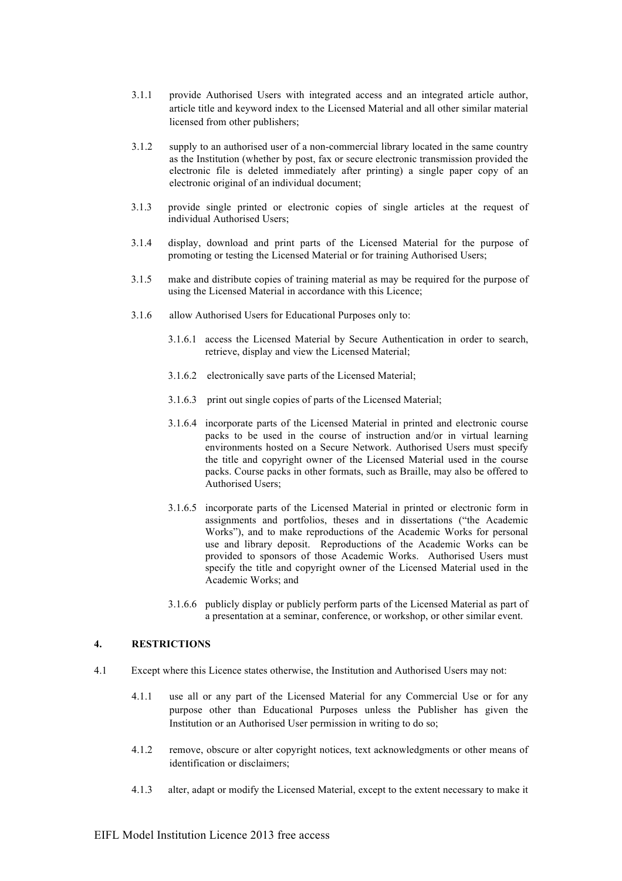- 3.1.1 provide Authorised Users with integrated access and an integrated article author, article title and keyword index to the Licensed Material and all other similar material licensed from other publishers;
- 3.1.2 supply to an authorised user of a non-commercial library located in the same country as the Institution (whether by post, fax or secure electronic transmission provided the electronic file is deleted immediately after printing) a single paper copy of an electronic original of an individual document;
- 3.1.3 provide single printed or electronic copies of single articles at the request of individual Authorised Users;
- 3.1.4 display, download and print parts of the Licensed Material for the purpose of promoting or testing the Licensed Material or for training Authorised Users;
- 3.1.5 make and distribute copies of training material as may be required for the purpose of using the Licensed Material in accordance with this Licence;
- 3.1.6 allow Authorised Users for Educational Purposes only to:
	- 3.1.6.1 access the Licensed Material by Secure Authentication in order to search, retrieve, display and view the Licensed Material;
	- 3.1.6.2 electronically save parts of the Licensed Material;
	- 3.1.6.3 print out single copies of parts of the Licensed Material;
	- 3.1.6.4 incorporate parts of the Licensed Material in printed and electronic course packs to be used in the course of instruction and/or in virtual learning environments hosted on a Secure Network. Authorised Users must specify the title and copyright owner of the Licensed Material used in the course packs. Course packs in other formats, such as Braille, may also be offered to Authorised Users;
	- 3.1.6.5 incorporate parts of the Licensed Material in printed or electronic form in assignments and portfolios, theses and in dissertations ("the Academic Works"), and to make reproductions of the Academic Works for personal use and library deposit. Reproductions of the Academic Works can be provided to sponsors of those Academic Works. Authorised Users must specify the title and copyright owner of the Licensed Material used in the Academic Works; and
	- 3.1.6.6 publicly display or publicly perform parts of the Licensed Material as part of a presentation at a seminar, conference, or workshop, or other similar event.

#### **4. RESTRICTIONS**

- 4.1 Except where this Licence states otherwise, the Institution and Authorised Users may not:
	- 4.1.1 use all or any part of the Licensed Material for any Commercial Use or for any purpose other than Educational Purposes unless the Publisher has given the Institution or an Authorised User permission in writing to do so;
	- 4.1.2 remove, obscure or alter copyright notices, text acknowledgments or other means of identification or disclaimers;
	- 4.1.3 alter, adapt or modify the Licensed Material, except to the extent necessary to make it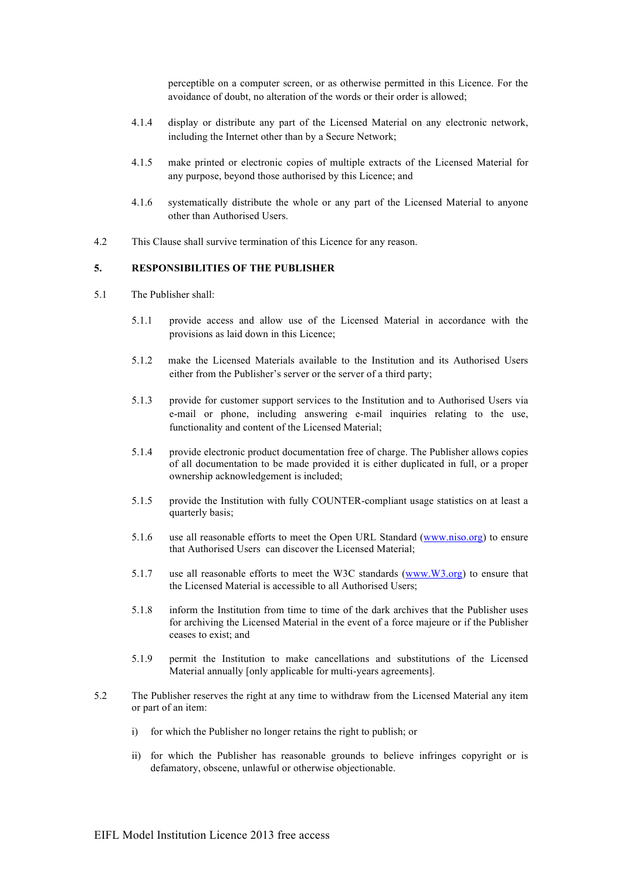perceptible on a computer screen, or as otherwise permitted in this Licence. For the avoidance of doubt, no alteration of the words or their order is allowed;

- 4.1.4 display or distribute any part of the Licensed Material on any electronic network, including the Internet other than by a Secure Network;
- 4.1.5 make printed or electronic copies of multiple extracts of the Licensed Material for any purpose, beyond those authorised by this Licence; and
- 4.1.6 systematically distribute the whole or any part of the Licensed Material to anyone other than Authorised Users.
- 4.2 This Clause shall survive termination of this Licence for any reason.

#### **5. RESPONSIBILITIES OF THE PUBLISHER**

- 5.1 The Publisher shall:
	- 5.1.1 provide access and allow use of the Licensed Material in accordance with the provisions as laid down in this Licence;
	- 5.1.2 make the Licensed Materials available to the Institution and its Authorised Users either from the Publisher's server or the server of a third party;
	- 5.1.3 provide for customer support services to the Institution and to Authorised Users via e-mail or phone, including answering e-mail inquiries relating to the use, functionality and content of the Licensed Material;
	- 5.1.4 provide electronic product documentation free of charge. The Publisher allows copies of all documentation to be made provided it is either duplicated in full, or a proper ownership acknowledgement is included;
	- 5.1.5 provide the Institution with fully COUNTER-compliant usage statistics on at least a quarterly basis;
	- 5.1.6 use all reasonable efforts to meet the Open URL Standard (www.niso.org) to ensure that Authorised Users can discover the Licensed Material;
	- 5.1.7 use all reasonable efforts to meet the W3C standards (www.W3.org) to ensure that the Licensed Material is accessible to all Authorised Users;
	- 5.1.8 inform the Institution from time to time of the dark archives that the Publisher uses for archiving the Licensed Material in the event of a force majeure or if the Publisher ceases to exist; and
	- 5.1.9 permit the Institution to make cancellations and substitutions of the Licensed Material annually [only applicable for multi-years agreements].
- 5.2 The Publisher reserves the right at any time to withdraw from the Licensed Material any item or part of an item:
	- i) for which the Publisher no longer retains the right to publish; or
	- ii) for which the Publisher has reasonable grounds to believe infringes copyright or is defamatory, obscene, unlawful or otherwise objectionable.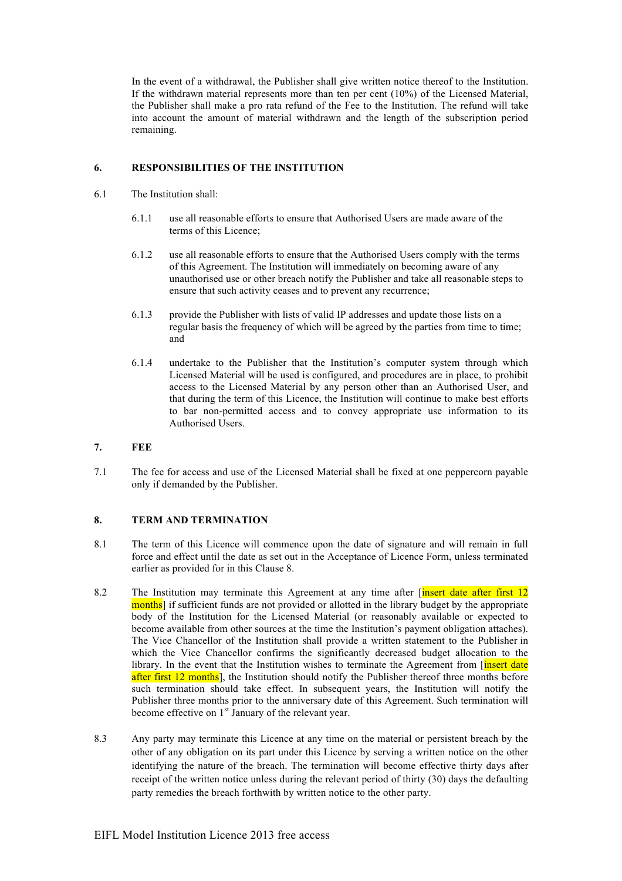In the event of a withdrawal, the Publisher shall give written notice thereof to the Institution. If the withdrawn material represents more than ten per cent (10%) of the Licensed Material, the Publisher shall make a pro rata refund of the Fee to the Institution. The refund will take into account the amount of material withdrawn and the length of the subscription period remaining.

#### **6. RESPONSIBILITIES OF THE INSTITUTION**

- 6.1 The Institution shall:
	- 6.1.1 use all reasonable efforts to ensure that Authorised Users are made aware of the terms of this Licence;
	- 6.1.2 use all reasonable efforts to ensure that the Authorised Users comply with the terms of this Agreement. The Institution will immediately on becoming aware of any unauthorised use or other breach notify the Publisher and take all reasonable steps to ensure that such activity ceases and to prevent any recurrence;
	- 6.1.3 provide the Publisher with lists of valid IP addresses and update those lists on a regular basis the frequency of which will be agreed by the parties from time to time; and
	- 6.1.4 undertake to the Publisher that the Institution's computer system through which Licensed Material will be used is configured, and procedures are in place, to prohibit access to the Licensed Material by any person other than an Authorised User, and that during the term of this Licence, the Institution will continue to make best efforts to bar non-permitted access and to convey appropriate use information to its Authorised Users.
- **7. FEE**
- 7.1 The fee for access and use of the Licensed Material shall be fixed at one peppercorn payable only if demanded by the Publisher.

# **8. TERM AND TERMINATION**

- 8.1 The term of this Licence will commence upon the date of signature and will remain in full force and effect until the date as set out in the Acceptance of Licence Form, unless terminated earlier as provided for in this Clause 8.
- 8.2 The Institution may terminate this Agreement at any time after *finsert date after first* 12 months] if sufficient funds are not provided or allotted in the library budget by the appropriate body of the Institution for the Licensed Material (or reasonably available or expected to become available from other sources at the time the Institution's payment obligation attaches). The Vice Chancellor of the Institution shall provide a written statement to the Publisher in which the Vice Chancellor confirms the significantly decreased budget allocation to the library. In the event that the Institution wishes to terminate the Agreement from [insert date after first 12 months], the Institution should notify the Publisher thereof three months before such termination should take effect. In subsequent years, the Institution will notify the Publisher three months prior to the anniversary date of this Agreement. Such termination will become effective on  $1<sup>st</sup>$  January of the relevant year.
- 8.3 Any party may terminate this Licence at any time on the material or persistent breach by the other of any obligation on its part under this Licence by serving a written notice on the other identifying the nature of the breach. The termination will become effective thirty days after receipt of the written notice unless during the relevant period of thirty (30) days the defaulting party remedies the breach forthwith by written notice to the other party.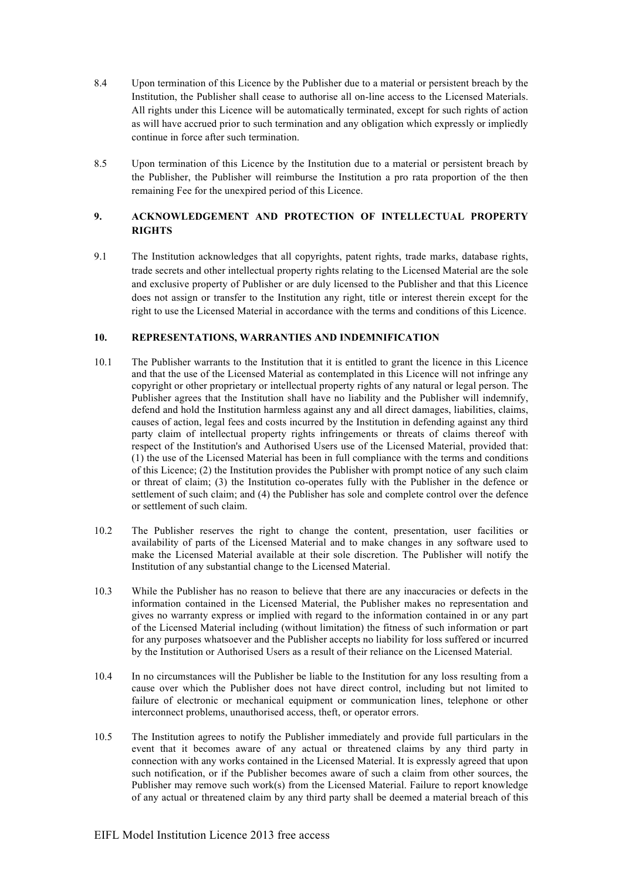- 8.4 Upon termination of this Licence by the Publisher due to a material or persistent breach by the Institution, the Publisher shall cease to authorise all on-line access to the Licensed Materials. All rights under this Licence will be automatically terminated, except for such rights of action as will have accrued prior to such termination and any obligation which expressly or impliedly continue in force after such termination.
- 8.5 Upon termination of this Licence by the Institution due to a material or persistent breach by the Publisher, the Publisher will reimburse the Institution a pro rata proportion of the then remaining Fee for the unexpired period of this Licence.

# **9. ACKNOWLEDGEMENT AND PROTECTION OF INTELLECTUAL PROPERTY RIGHTS**

9.1 The Institution acknowledges that all copyrights, patent rights, trade marks, database rights, trade secrets and other intellectual property rights relating to the Licensed Material are the sole and exclusive property of Publisher or are duly licensed to the Publisher and that this Licence does not assign or transfer to the Institution any right, title or interest therein except for the right to use the Licensed Material in accordance with the terms and conditions of this Licence.

# **10. REPRESENTATIONS, WARRANTIES AND INDEMNIFICATION**

- 10.1 The Publisher warrants to the Institution that it is entitled to grant the licence in this Licence and that the use of the Licensed Material as contemplated in this Licence will not infringe any copyright or other proprietary or intellectual property rights of any natural or legal person. The Publisher agrees that the Institution shall have no liability and the Publisher will indemnify, defend and hold the Institution harmless against any and all direct damages, liabilities, claims, causes of action, legal fees and costs incurred by the Institution in defending against any third party claim of intellectual property rights infringements or threats of claims thereof with respect of the Institution's and Authorised Users use of the Licensed Material, provided that: (1) the use of the Licensed Material has been in full compliance with the terms and conditions of this Licence; (2) the Institution provides the Publisher with prompt notice of any such claim or threat of claim; (3) the Institution co-operates fully with the Publisher in the defence or settlement of such claim; and (4) the Publisher has sole and complete control over the defence or settlement of such claim.
- 10.2 The Publisher reserves the right to change the content, presentation, user facilities or availability of parts of the Licensed Material and to make changes in any software used to make the Licensed Material available at their sole discretion. The Publisher will notify the Institution of any substantial change to the Licensed Material.
- 10.3 While the Publisher has no reason to believe that there are any inaccuracies or defects in the information contained in the Licensed Material, the Publisher makes no representation and gives no warranty express or implied with regard to the information contained in or any part of the Licensed Material including (without limitation) the fitness of such information or part for any purposes whatsoever and the Publisher accepts no liability for loss suffered or incurred by the Institution or Authorised Users as a result of their reliance on the Licensed Material.
- 10.4 In no circumstances will the Publisher be liable to the Institution for any loss resulting from a cause over which the Publisher does not have direct control, including but not limited to failure of electronic or mechanical equipment or communication lines, telephone or other interconnect problems, unauthorised access, theft, or operator errors.
- 10.5 The Institution agrees to notify the Publisher immediately and provide full particulars in the event that it becomes aware of any actual or threatened claims by any third party in connection with any works contained in the Licensed Material. It is expressly agreed that upon such notification, or if the Publisher becomes aware of such a claim from other sources, the Publisher may remove such work(s) from the Licensed Material. Failure to report knowledge of any actual or threatened claim by any third party shall be deemed a material breach of this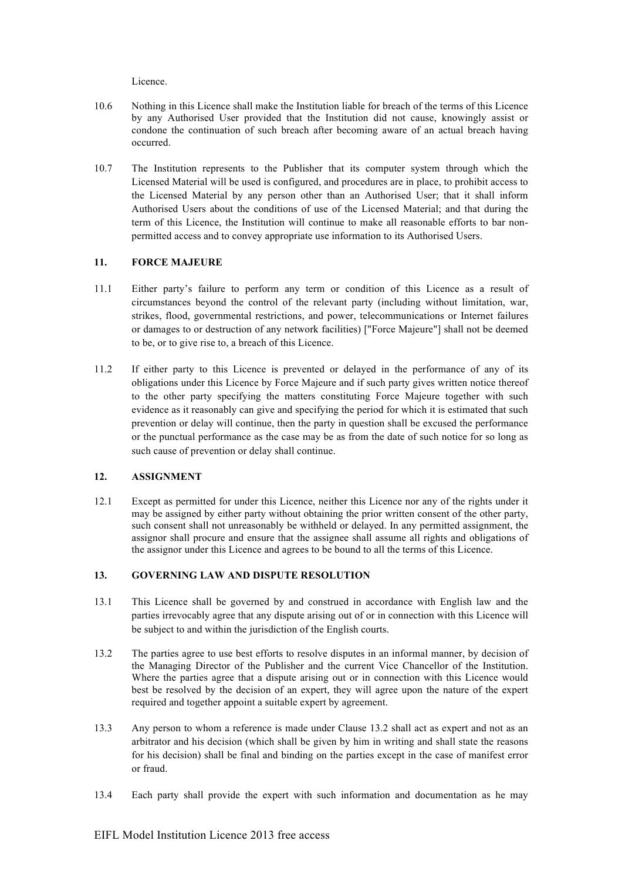Licence.

- 10.6 Nothing in this Licence shall make the Institution liable for breach of the terms of this Licence by any Authorised User provided that the Institution did not cause, knowingly assist or condone the continuation of such breach after becoming aware of an actual breach having occurred.
- 10.7 The Institution represents to the Publisher that its computer system through which the Licensed Material will be used is configured, and procedures are in place, to prohibit access to the Licensed Material by any person other than an Authorised User; that it shall inform Authorised Users about the conditions of use of the Licensed Material; and that during the term of this Licence, the Institution will continue to make all reasonable efforts to bar nonpermitted access and to convey appropriate use information to its Authorised Users.

#### **11. FORCE MAJEURE**

- 11.1 Either party's failure to perform any term or condition of this Licence as a result of circumstances beyond the control of the relevant party (including without limitation, war, strikes, flood, governmental restrictions, and power, telecommunications or Internet failures or damages to or destruction of any network facilities) ["Force Majeure"] shall not be deemed to be, or to give rise to, a breach of this Licence.
- 11.2 If either party to this Licence is prevented or delayed in the performance of any of its obligations under this Licence by Force Majeure and if such party gives written notice thereof to the other party specifying the matters constituting Force Majeure together with such evidence as it reasonably can give and specifying the period for which it is estimated that such prevention or delay will continue, then the party in question shall be excused the performance or the punctual performance as the case may be as from the date of such notice for so long as such cause of prevention or delay shall continue.

# **12. ASSIGNMENT**

12.1 Except as permitted for under this Licence, neither this Licence nor any of the rights under it may be assigned by either party without obtaining the prior written consent of the other party, such consent shall not unreasonably be withheld or delayed. In any permitted assignment, the assignor shall procure and ensure that the assignee shall assume all rights and obligations of the assignor under this Licence and agrees to be bound to all the terms of this Licence.

#### **13. GOVERNING LAW AND DISPUTE RESOLUTION**

- 13.1 This Licence shall be governed by and construed in accordance with English law and the parties irrevocably agree that any dispute arising out of or in connection with this Licence will be subject to and within the jurisdiction of the English courts.
- 13.2 The parties agree to use best efforts to resolve disputes in an informal manner, by decision of the Managing Director of the Publisher and the current Vice Chancellor of the Institution. Where the parties agree that a dispute arising out or in connection with this Licence would best be resolved by the decision of an expert, they will agree upon the nature of the expert required and together appoint a suitable expert by agreement.
- 13.3 Any person to whom a reference is made under Clause 13.2 shall act as expert and not as an arbitrator and his decision (which shall be given by him in writing and shall state the reasons for his decision) shall be final and binding on the parties except in the case of manifest error or fraud.
- 13.4 Each party shall provide the expert with such information and documentation as he may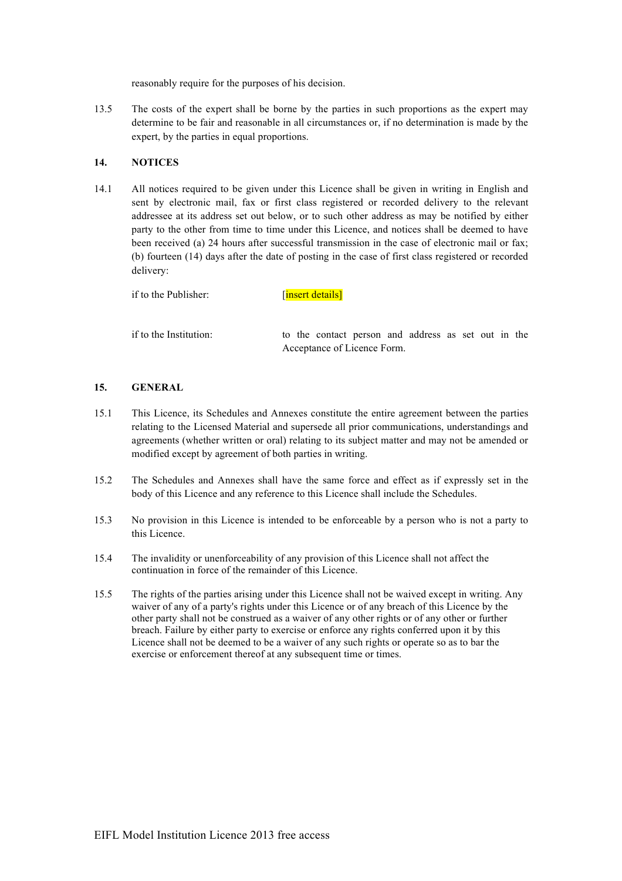reasonably require for the purposes of his decision.

13.5 The costs of the expert shall be borne by the parties in such proportions as the expert may determine to be fair and reasonable in all circumstances or, if no determination is made by the expert, by the parties in equal proportions.

#### **14. NOTICES**

14.1 All notices required to be given under this Licence shall be given in writing in English and sent by electronic mail, fax or first class registered or recorded delivery to the relevant addressee at its address set out below, or to such other address as may be notified by either party to the other from time to time under this Licence, and notices shall be deemed to have been received (a) 24 hours after successful transmission in the case of electronic mail or fax; (b) fourteen (14) days after the date of posting in the case of first class registered or recorded delivery:

if to the Publisher: [insert details]

if to the Institution: to the contact person and address as set out in the Acceptance of Licence Form.

## **15. GENERAL**

- 15.1 This Licence, its Schedules and Annexes constitute the entire agreement between the parties relating to the Licensed Material and supersede all prior communications, understandings and agreements (whether written or oral) relating to its subject matter and may not be amended or modified except by agreement of both parties in writing.
- 15.2 The Schedules and Annexes shall have the same force and effect as if expressly set in the body of this Licence and any reference to this Licence shall include the Schedules.
- 15.3 No provision in this Licence is intended to be enforceable by a person who is not a party to this Licence.
- 15.4 The invalidity or unenforceability of any provision of this Licence shall not affect the continuation in force of the remainder of this Licence.
- 15.5 The rights of the parties arising under this Licence shall not be waived except in writing. Any waiver of any of a party's rights under this Licence or of any breach of this Licence by the other party shall not be construed as a waiver of any other rights or of any other or further breach. Failure by either party to exercise or enforce any rights conferred upon it by this Licence shall not be deemed to be a waiver of any such rights or operate so as to bar the exercise or enforcement thereof at any subsequent time or times.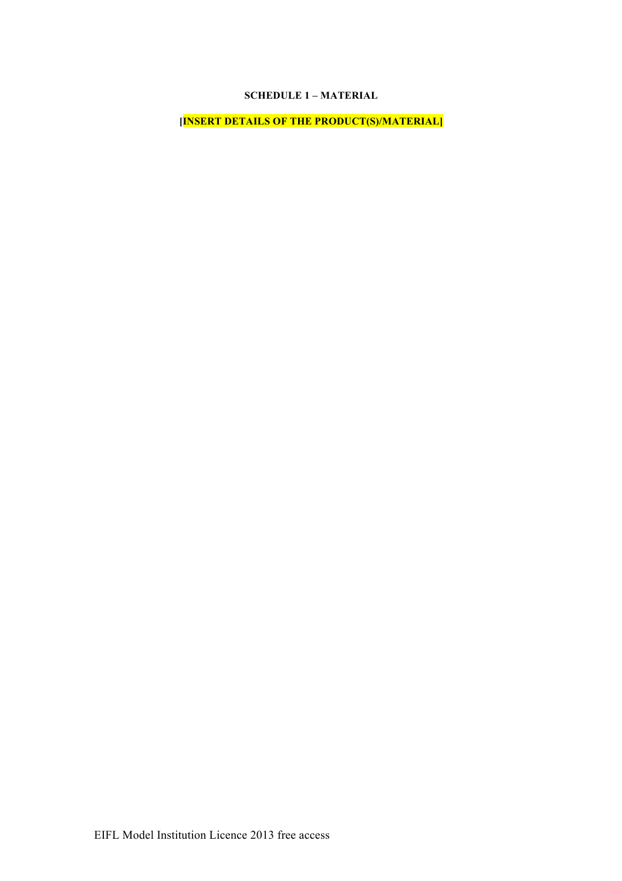# **SCHEDULE 1 – MATERIAL**

**[INSERT DETAILS OF THE PRODUCT(S)/MATERIAL]**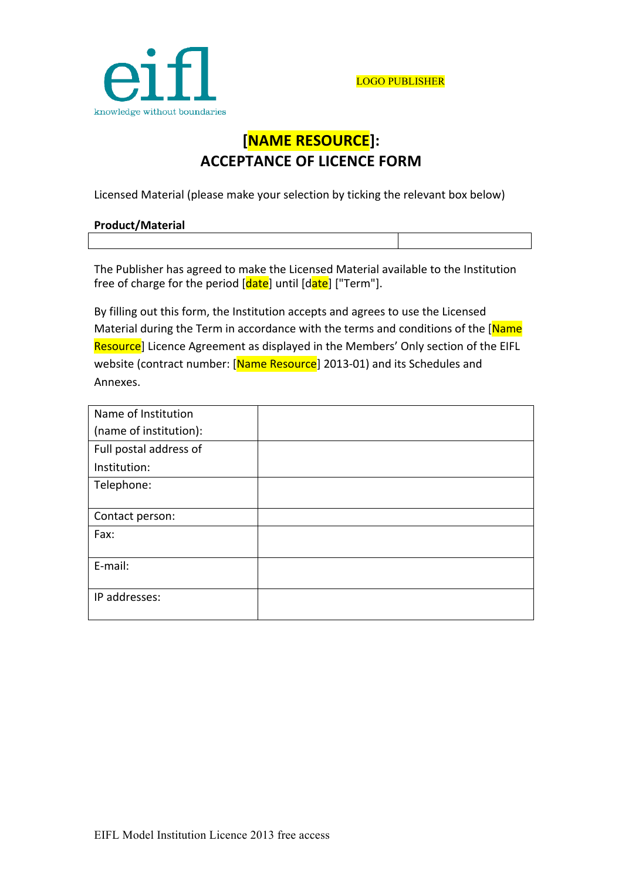

# **[NAME!RESOURCE]: ACCEPTANCE OF LICENCE FORM**

Licensed Material (please make your selection by ticking the relevant box below)

| <b>Product/Material</b> |  |
|-------------------------|--|
|                         |  |

The Publisher has agreed to make the Licensed Material available to the Institution free of charge for the period [date] until [date] ["Term"].

By filling out this form, the Institution accepts and agrees to use the Licensed Material during the Term in accordance with the terms and conditions of the [Name Resource] Licence Agreement as displayed in the Members' Only section of the EIFL website (contract number: [Name Resource] 2013-01) and its Schedules and Annexes.

| Name of Institution    |  |
|------------------------|--|
| (name of institution): |  |
| Full postal address of |  |
| Institution:           |  |
| Telephone:             |  |
|                        |  |
| Contact person:        |  |
| Fax:                   |  |
|                        |  |
| E-mail:                |  |
|                        |  |
| IP addresses:          |  |
|                        |  |